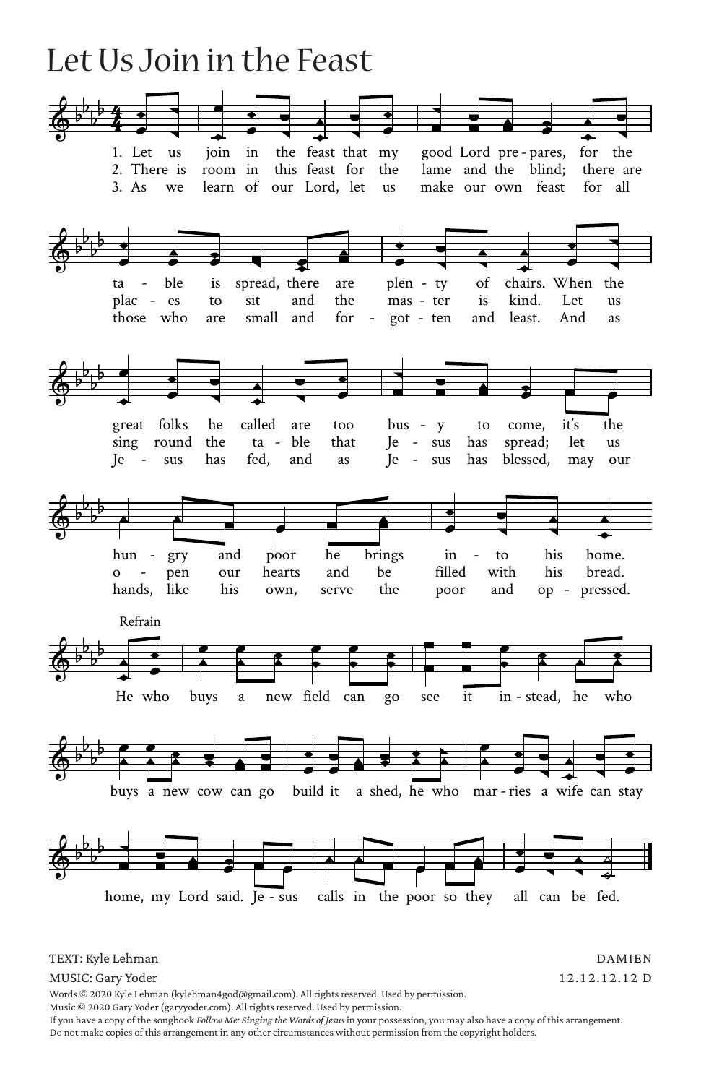## Let Us Join in the Feast



TEXT: Kyle Lehman

DAMIEN 12.12.12.12 D

MUSIC: Gary Yoder Words © 2020 Kyle Lehman (kylehman4god@gmail.com). All rights reserved. Used by permission.

Music © 2020 Gary Yoder (garyyoder.com). All rights reserved. Used by permission.

If you have a copy of the songbook *Follow Me: Singing the Words of Jesus* in your possession, you may also have a copy of this arrangement. Do not make copies of this arrangement in any other circumstances without permission from the copyright holders.